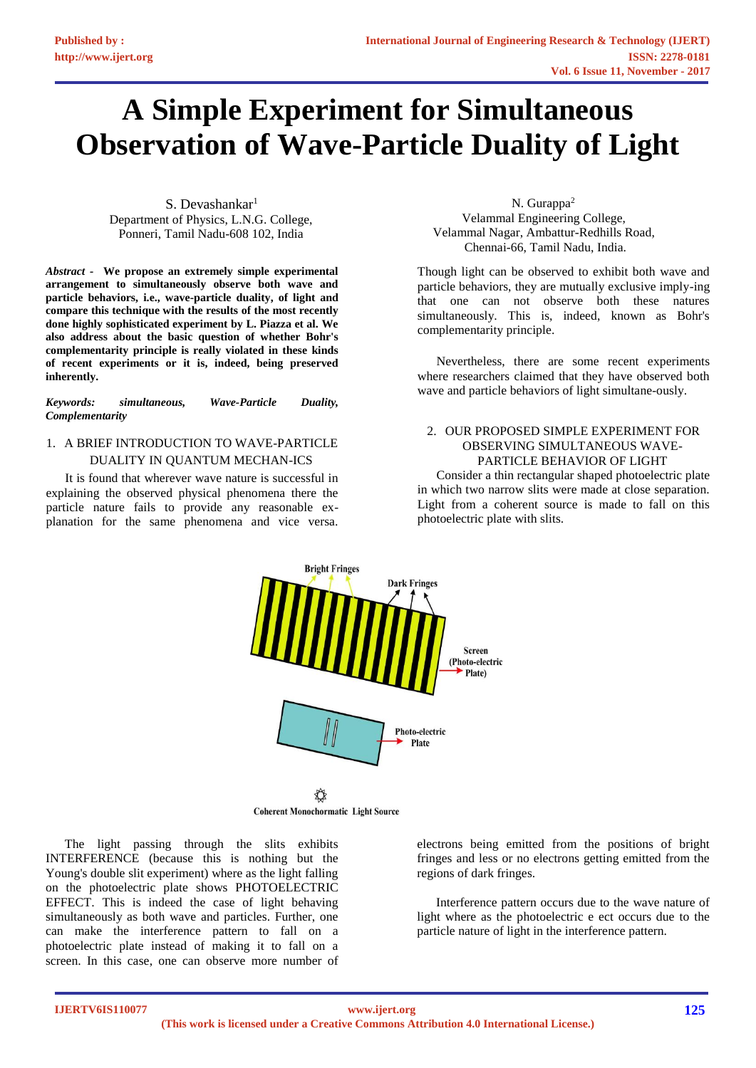# **A Simple Experiment for Simultaneous Observation of Wave-Particle Duality of Light**

S. Devashankar $1$ Department of Physics, L.N.G. College, Ponneri, Tamil Nadu-608 102, India

*Abstract -* **We propose an extremely simple experimental arrangement to simultaneously observe both wave and particle behaviors, i.e., wave-particle duality, of light and compare this technique with the results of the most recently done highly sophisticated experiment by L. Piazza et al. We also address about the basic question of whether Bohr's complementarity principle is really violated in these kinds of recent experiments or it is, indeed, being preserved inherently.**

*Keywords: simultaneous, Wave-Particle Duality, Complementarity*

## 1. A BRIEF INTRODUCTION TO WAVE-PARTICLE DUALITY IN QUANTUM MECHAN-ICS

It is found that wherever wave nature is successful in explaining the observed physical phenomena there the particle nature fails to provide any reasonable explanation for the same phenomena and vice versa.

N. Gurappa<sup>2</sup> Velammal Engineering College, Velammal Nagar, Ambattur-Redhills Road, Chennai-66, Tamil Nadu, India.

Though light can be observed to exhibit both wave and particle behaviors, they are mutually exclusive imply-ing that one can not observe both these natures simultaneously. This is, indeed, known as Bohr's complementarity principle.

Nevertheless, there are some recent experiments where researchers claimed that they have observed both wave and particle behaviors of light simultane-ously.

### 2. OUR PROPOSED SIMPLE EXPERIMENT FOR OBSERVING SIMULTANEOUS WAVE-PARTICLE BEHAVIOR OF LIGHT

Consider a thin rectangular shaped photoelectric plate in which two narrow slits were made at close separation. Light from a coherent source is made to fall on this photoelectric plate with slits.



**Coherent Monochormatic Light Source** 

The light passing through the slits exhibits INTERFERENCE (because this is nothing but the Young's double slit experiment) where as the light falling on the photoelectric plate shows PHOTOELECTRIC EFFECT. This is indeed the case of light behaving simultaneously as both wave and particles. Further, one can make the interference pattern to fall on a photoelectric plate instead of making it to fall on a screen. In this case, one can observe more number of

electrons being emitted from the positions of bright fringes and less or no electrons getting emitted from the regions of dark fringes.

Interference pattern occurs due to the wave nature of light where as the photoelectric e ect occurs due to the particle nature of light in the interference pattern.